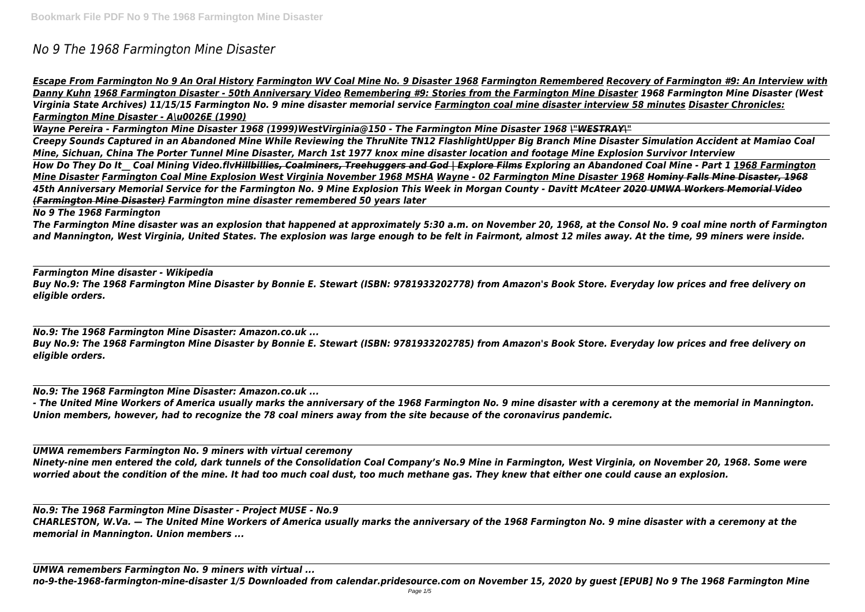# *No 9 The 1968 Farmington Mine Disaster*

*Escape From Farmington No 9 An Oral History Farmington WV Coal Mine No. 9 Disaster 1968 Farmington Remembered Recovery of Farmington #9: An Interview with Danny Kuhn 1968 Farmington Disaster - 50th Anniversary Video Remembering #9: Stories from the Farmington Mine Disaster 1968 Farmington Mine Disaster (West Virginia State Archives) 11/15/15 Farmington No. 9 mine disaster memorial service Farmington coal mine disaster interview 58 minutes Disaster Chronicles: Farmington Mine Disaster - A\u0026E (1990)*

*Wayne Pereira - Farmington Mine Disaster 1968 (1999)WestVirginia@150 - The Farmington Mine Disaster 1968 \"WESTRAY\" Creepy Sounds Captured in an Abandoned Mine While Reviewing the ThruNite TN12 FlashlightUpper Big Branch Mine Disaster Simulation Accident at Mamiao Coal Mine, Sichuan, China The Porter Tunnel Mine Disaster, March 1st 1977 knox mine disaster location and footage Mine Explosion Survivor Interview How Do They Do It\_\_ Coal Mining Video.flvHillbillies, Coalminers, Treehuggers and God | Explore Films Exploring an Abandoned Coal Mine - Part 1 1968 Farmington Mine Disaster Farmington Coal Mine Explosion West Virginia November 1968 MSHA Wayne - 02 Farmington Mine Disaster 1968 Hominy Falls Mine Disaster, 1968 45th Anniversary Memorial Service for the Farmington No. 9 Mine Explosion This Week in Morgan County - Davitt McAteer 2020 UMWA Workers Memorial Video (Farmington Mine Disaster) Farmington mine disaster remembered 50 years later*

*No 9 The 1968 Farmington*

*The Farmington Mine disaster was an explosion that happened at approximately 5:30 a.m. on November 20, 1968, at the Consol No. 9 coal mine north of Farmington and Mannington, West Virginia, United States. The explosion was large enough to be felt in Fairmont, almost 12 miles away. At the time, 99 miners were inside.*

*Farmington Mine disaster - Wikipedia Buy No.9: The 1968 Farmington Mine Disaster by Bonnie E. Stewart (ISBN: 9781933202778) from Amazon's Book Store. Everyday low prices and free delivery on eligible orders.*

*No.9: The 1968 Farmington Mine Disaster: Amazon.co.uk ... Buy No.9: The 1968 Farmington Mine Disaster by Bonnie E. Stewart (ISBN: 9781933202785) from Amazon's Book Store. Everyday low prices and free delivery on eligible orders.*

*No.9: The 1968 Farmington Mine Disaster: Amazon.co.uk ...*

*- The United Mine Workers of America usually marks the anniversary of the 1968 Farmington No. 9 mine disaster with a ceremony at the memorial in Mannington. Union members, however, had to recognize the 78 coal miners away from the site because of the coronavirus pandemic.*

*UMWA remembers Farmington No. 9 miners with virtual ceremony Ninety-nine men entered the cold, dark tunnels of the Consolidation Coal Company's No.9 Mine in Farmington, West Virginia, on November 20, 1968. Some were worried about the condition of the mine. It had too much coal dust, too much methane gas. They knew that either one could cause an explosion.*

*No.9: The 1968 Farmington Mine Disaster - Project MUSE - No.9 CHARLESTON, W.Va. — The United Mine Workers of America usually marks the anniversary of the 1968 Farmington No. 9 mine disaster with a ceremony at the memorial in Mannington. Union members ...*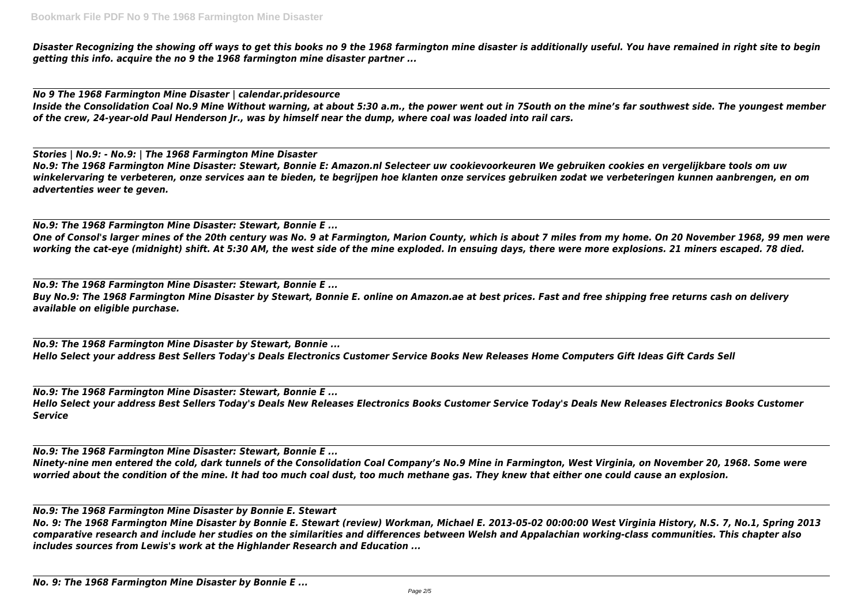*Disaster Recognizing the showing off ways to get this books no 9 the 1968 farmington mine disaster is additionally useful. You have remained in right site to begin getting this info. acquire the no 9 the 1968 farmington mine disaster partner ...*

*No 9 The 1968 Farmington Mine Disaster | calendar.pridesource Inside the Consolidation Coal No.9 Mine Without warning, at about 5:30 a.m., the power went out in 7South on the mine's far southwest side. The youngest member of the crew, 24-year-old Paul Henderson Jr., was by himself near the dump, where coal was loaded into rail cars.*

*Stories | No.9: - No.9: | The 1968 Farmington Mine Disaster No.9: The 1968 Farmington Mine Disaster: Stewart, Bonnie E: Amazon.nl Selecteer uw cookievoorkeuren We gebruiken cookies en vergelijkbare tools om uw winkelervaring te verbeteren, onze services aan te bieden, te begrijpen hoe klanten onze services gebruiken zodat we verbeteringen kunnen aanbrengen, en om advertenties weer te geven.*

*No.9: The 1968 Farmington Mine Disaster: Stewart, Bonnie E ... One of Consol's larger mines of the 20th century was No. 9 at Farmington, Marion County, which is about 7 miles from my home. On 20 November 1968, 99 men were working the cat-eye (midnight) shift. At 5:30 AM, the west side of the mine exploded. In ensuing days, there were more explosions. 21 miners escaped. 78 died.*

*No.9: The 1968 Farmington Mine Disaster: Stewart, Bonnie E ... Buy No.9: The 1968 Farmington Mine Disaster by Stewart, Bonnie E. online on Amazon.ae at best prices. Fast and free shipping free returns cash on delivery available on eligible purchase.*

*No.9: The 1968 Farmington Mine Disaster by Stewart, Bonnie ... Hello Select your address Best Sellers Today's Deals Electronics Customer Service Books New Releases Home Computers Gift Ideas Gift Cards Sell*

*No.9: The 1968 Farmington Mine Disaster: Stewart, Bonnie E ... Hello Select your address Best Sellers Today's Deals New Releases Electronics Books Customer Service Today's Deals New Releases Electronics Books Customer Service*

*No.9: The 1968 Farmington Mine Disaster: Stewart, Bonnie E ... Ninety-nine men entered the cold, dark tunnels of the Consolidation Coal Company's No.9 Mine in Farmington, West Virginia, on November 20, 1968. Some were worried about the condition of the mine. It had too much coal dust, too much methane gas. They knew that either one could cause an explosion.*

*No.9: The 1968 Farmington Mine Disaster by Bonnie E. Stewart*

*No. 9: The 1968 Farmington Mine Disaster by Bonnie E. Stewart (review) Workman, Michael E. 2013-05-02 00:00:00 West Virginia History, N.S. 7, No.1, Spring 2013 comparative research and include her studies on the similarities and differences between Welsh and Appalachian working-class communities. This chapter also includes sources from Lewis's work at the Highlander Research and Education ...*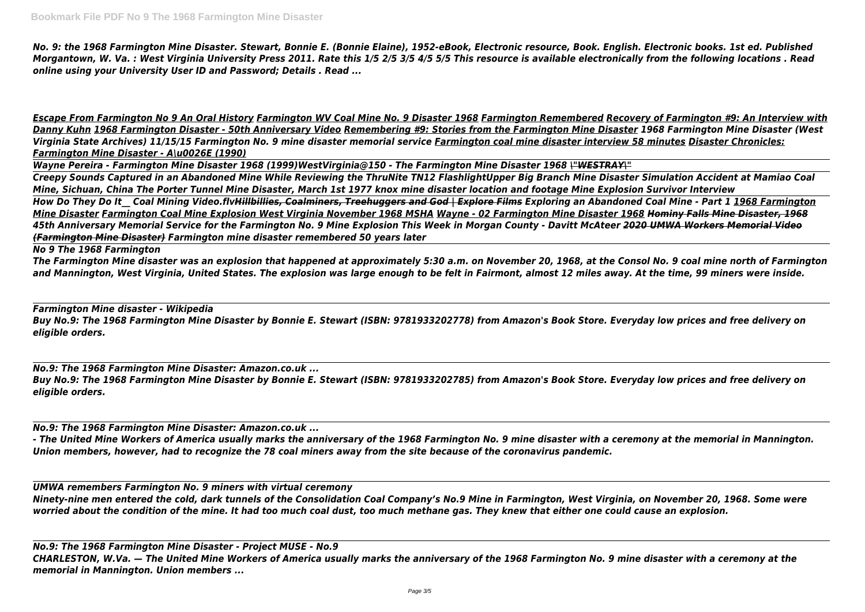*No. 9: the 1968 Farmington Mine Disaster. Stewart, Bonnie E. (Bonnie Elaine), 1952-eBook, Electronic resource, Book. English. Electronic books. 1st ed. Published Morgantown, W. Va. : West Virginia University Press 2011. Rate this 1/5 2/5 3/5 4/5 5/5 This resource is available electronically from the following locations . Read online using your University User ID and Password; Details . Read ...*

*Escape From Farmington No 9 An Oral History Farmington WV Coal Mine No. 9 Disaster 1968 Farmington Remembered Recovery of Farmington #9: An Interview with Danny Kuhn 1968 Farmington Disaster - 50th Anniversary Video Remembering #9: Stories from the Farmington Mine Disaster 1968 Farmington Mine Disaster (West Virginia State Archives) 11/15/15 Farmington No. 9 mine disaster memorial service Farmington coal mine disaster interview 58 minutes Disaster Chronicles: Farmington Mine Disaster - A\u0026E (1990)*

*Wayne Pereira - Farmington Mine Disaster 1968 (1999)WestVirginia@150 - The Farmington Mine Disaster 1968 \"WESTRAY\" Creepy Sounds Captured in an Abandoned Mine While Reviewing the ThruNite TN12 FlashlightUpper Big Branch Mine Disaster Simulation Accident at Mamiao Coal Mine, Sichuan, China The Porter Tunnel Mine Disaster, March 1st 1977 knox mine disaster location and footage Mine Explosion Survivor Interview How Do They Do It\_\_ Coal Mining Video.flvHillbillies, Coalminers, Treehuggers and God | Explore Films Exploring an Abandoned Coal Mine - Part 1 1968 Farmington Mine Disaster Farmington Coal Mine Explosion West Virginia November 1968 MSHA Wayne - 02 Farmington Mine Disaster 1968 Hominy Falls Mine Disaster, 1968 45th Anniversary Memorial Service for the Farmington No. 9 Mine Explosion This Week in Morgan County - Davitt McAteer 2020 UMWA Workers Memorial Video (Farmington Mine Disaster) Farmington mine disaster remembered 50 years later*

## *No 9 The 1968 Farmington*

*The Farmington Mine disaster was an explosion that happened at approximately 5:30 a.m. on November 20, 1968, at the Consol No. 9 coal mine north of Farmington and Mannington, West Virginia, United States. The explosion was large enough to be felt in Fairmont, almost 12 miles away. At the time, 99 miners were inside.*

*Farmington Mine disaster - Wikipedia Buy No.9: The 1968 Farmington Mine Disaster by Bonnie E. Stewart (ISBN: 9781933202778) from Amazon's Book Store. Everyday low prices and free delivery on eligible orders.*

*No.9: The 1968 Farmington Mine Disaster: Amazon.co.uk ... Buy No.9: The 1968 Farmington Mine Disaster by Bonnie E. Stewart (ISBN: 9781933202785) from Amazon's Book Store. Everyday low prices and free delivery on eligible orders.*

*No.9: The 1968 Farmington Mine Disaster: Amazon.co.uk ...*

*- The United Mine Workers of America usually marks the anniversary of the 1968 Farmington No. 9 mine disaster with a ceremony at the memorial in Mannington. Union members, however, had to recognize the 78 coal miners away from the site because of the coronavirus pandemic.*

*UMWA remembers Farmington No. 9 miners with virtual ceremony Ninety-nine men entered the cold, dark tunnels of the Consolidation Coal Company's No.9 Mine in Farmington, West Virginia, on November 20, 1968. Some were worried about the condition of the mine. It had too much coal dust, too much methane gas. They knew that either one could cause an explosion.*

*No.9: The 1968 Farmington Mine Disaster - Project MUSE - No.9 CHARLESTON, W.Va. — The United Mine Workers of America usually marks the anniversary of the 1968 Farmington No. 9 mine disaster with a ceremony at the memorial in Mannington. Union members ...*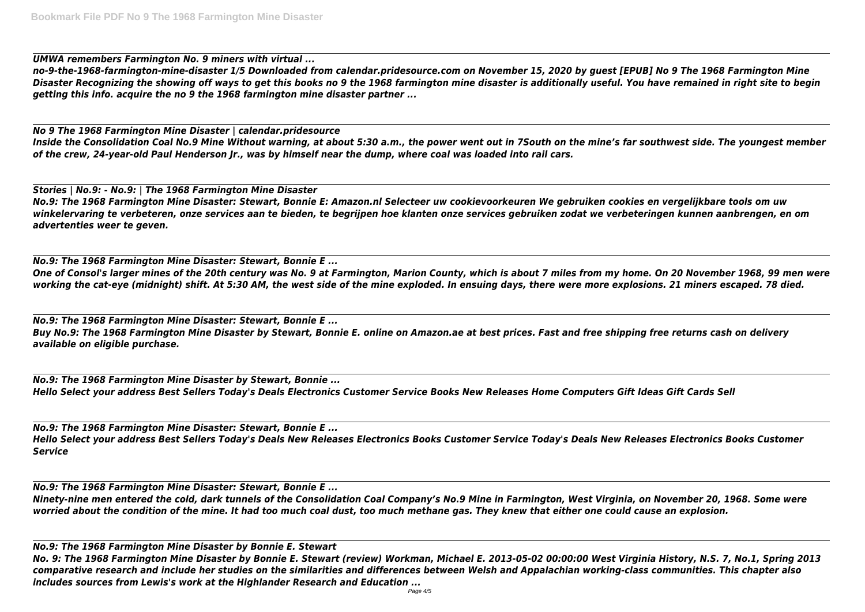*UMWA remembers Farmington No. 9 miners with virtual ...*

*no-9-the-1968-farmington-mine-disaster 1/5 Downloaded from calendar.pridesource.com on November 15, 2020 by guest [EPUB] No 9 The 1968 Farmington Mine Disaster Recognizing the showing off ways to get this books no 9 the 1968 farmington mine disaster is additionally useful. You have remained in right site to begin getting this info. acquire the no 9 the 1968 farmington mine disaster partner ...*

*No 9 The 1968 Farmington Mine Disaster | calendar.pridesource Inside the Consolidation Coal No.9 Mine Without warning, at about 5:30 a.m., the power went out in 7South on the mine's far southwest side. The youngest member of the crew, 24-year-old Paul Henderson Jr., was by himself near the dump, where coal was loaded into rail cars.*

*Stories | No.9: - No.9: | The 1968 Farmington Mine Disaster No.9: The 1968 Farmington Mine Disaster: Stewart, Bonnie E: Amazon.nl Selecteer uw cookievoorkeuren We gebruiken cookies en vergelijkbare tools om uw winkelervaring te verbeteren, onze services aan te bieden, te begrijpen hoe klanten onze services gebruiken zodat we verbeteringen kunnen aanbrengen, en om advertenties weer te geven.*

*No.9: The 1968 Farmington Mine Disaster: Stewart, Bonnie E ... One of Consol's larger mines of the 20th century was No. 9 at Farmington, Marion County, which is about 7 miles from my home. On 20 November 1968, 99 men were working the cat-eye (midnight) shift. At 5:30 AM, the west side of the mine exploded. In ensuing days, there were more explosions. 21 miners escaped. 78 died.*

*No.9: The 1968 Farmington Mine Disaster: Stewart, Bonnie E ... Buy No.9: The 1968 Farmington Mine Disaster by Stewart, Bonnie E. online on Amazon.ae at best prices. Fast and free shipping free returns cash on delivery available on eligible purchase.*

*No.9: The 1968 Farmington Mine Disaster by Stewart, Bonnie ... Hello Select your address Best Sellers Today's Deals Electronics Customer Service Books New Releases Home Computers Gift Ideas Gift Cards Sell*

*No.9: The 1968 Farmington Mine Disaster: Stewart, Bonnie E ... Hello Select your address Best Sellers Today's Deals New Releases Electronics Books Customer Service Today's Deals New Releases Electronics Books Customer Service*

*No.9: The 1968 Farmington Mine Disaster: Stewart, Bonnie E ... Ninety-nine men entered the cold, dark tunnels of the Consolidation Coal Company's No.9 Mine in Farmington, West Virginia, on November 20, 1968. Some were worried about the condition of the mine. It had too much coal dust, too much methane gas. They knew that either one could cause an explosion.*

*No.9: The 1968 Farmington Mine Disaster by Bonnie E. Stewart No. 9: The 1968 Farmington Mine Disaster by Bonnie E. Stewart (review) Workman, Michael E. 2013-05-02 00:00:00 West Virginia History, N.S. 7, No.1, Spring 2013 comparative research and include her studies on the similarities and differences between Welsh and Appalachian working-class communities. This chapter also includes sources from Lewis's work at the Highlander Research and Education ...*